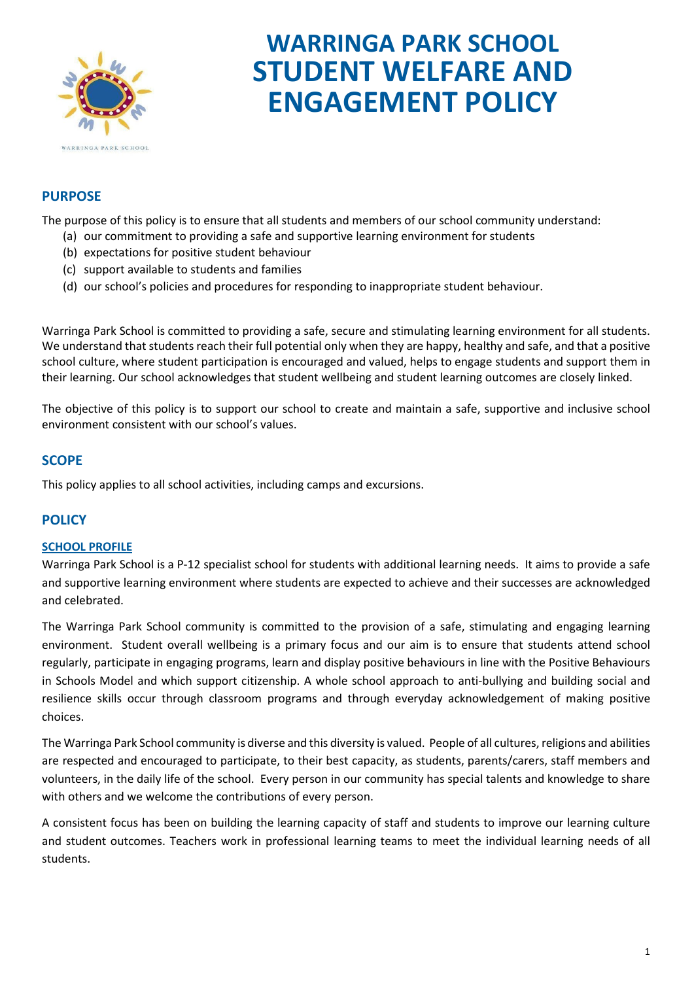

# **WARRINGA PARK SCHOOL STUDENT WELFARE AND ENGAGEMENT POLICY**

## **PURPOSE**

The purpose of this policy is to ensure that all students and members of our school community understand:

- (a) our commitment to providing a safe and supportive learning environment for students
- (b) expectations for positive student behaviour
- (c) support available to students and families
- (d) our school's policies and procedures for responding to inappropriate student behaviour.

Warringa Park School is committed to providing a safe, secure and stimulating learning environment for all students. We understand that students reach their full potential only when they are happy, healthy and safe, and that a positive school culture, where student participation is encouraged and valued, helps to engage students and support them in their learning. Our school acknowledges that student wellbeing and student learning outcomes are closely linked.

The objective of this policy is to support our school to create and maintain a safe, supportive and inclusive school environment consistent with our school's values.

## **SCOPE**

This policy applies to all school activities, including camps and excursions.

# **POLICY**

#### **SCHOOL PROFILE**

Warringa Park School is a P-12 specialist school for students with additional learning needs. It aims to provide a safe and supportive learning environment where students are expected to achieve and their successes are acknowledged and celebrated.

The Warringa Park School community is committed to the provision of a safe, stimulating and engaging learning environment. Student overall wellbeing is a primary focus and our aim is to ensure that students attend school regularly, participate in engaging programs, learn and display positive behaviours in line with the Positive Behaviours in Schools Model and which support citizenship. A whole school approach to anti-bullying and building social and resilience skills occur through classroom programs and through everyday acknowledgement of making positive choices.

The Warringa Park School community is diverse and this diversity is valued. People of all cultures, religions and abilities are respected and encouraged to participate, to their best capacity, as students, parents/carers, staff members and volunteers, in the daily life of the school. Every person in our community has special talents and knowledge to share with others and we welcome the contributions of every person.

A consistent focus has been on building the learning capacity of staff and students to improve our learning culture and student outcomes. Teachers work in professional learning teams to meet the individual learning needs of all students.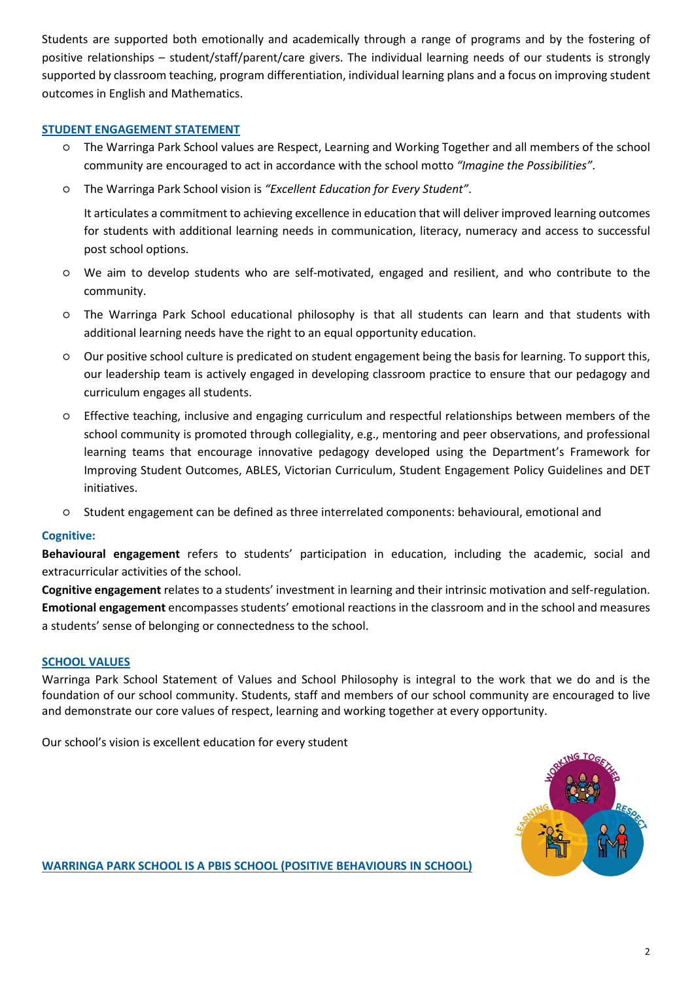Students are supported both emotionally and academically through a range of programs and by the fostering of positive relationships – student/staff/parent/care givers. The individual learning needs of our students is strongly supported by classroom teaching, program differentiation, individual learning plans and a focus on improving student outcomes in English and Mathematics.

### **STUDENT ENGAGEMENT STATEMENT**

- The Warringa Park School values are Respect, Learning and Working Together and all members of the school community are encouraged to act in accordance with the school motto *"Imagine the Possibilities"*.
- The Warringa Park School vision is *"Excellent Education for Every Student"*.

It articulates a commitment to achieving excellence in education that will deliver improved learning outcomes for students with additional learning needs in communication, literacy, numeracy and access to successful post school options.

- We aim to develop students who are self-motivated, engaged and resilient, and who contribute to the community.
- The Warringa Park School educational philosophy is that all students can learn and that students with additional learning needs have the right to an equal opportunity education.
- Our positive school culture is predicated on student engagement being the basis for learning. To support this, our leadership team is actively engaged in developing classroom practice to ensure that our pedagogy and curriculum engages all students.
- Effective teaching, inclusive and engaging curriculum and respectful relationships between members of the school community is promoted through collegiality, e.g., mentoring and peer observations, and professional learning teams that encourage innovative pedagogy developed using the Department's Framework for Improving Student Outcomes, ABLES, Victorian Curriculum, Student Engagement Policy Guidelines and DET initiatives.
- Student engagement can be defined as three interrelated components: behavioural, emotional and

#### **Cognitive:**

**Behavioural engagement** refers to students' participation in education, including the academic, social and extracurricular activities of the school.

**Cognitive engagement** relates to a students' investment in learning and their intrinsic motivation and self-regulation. **Emotional engagement** encompasses students' emotional reactions in the classroom and in the school and measures a students' sense of belonging or connectedness to the school.

#### **SCHOOL VALUES**

Warringa Park School Statement of Values and School Philosophy is integral to the work that we do and is the foundation of our school community. Students, staff and members of our school community are encouraged to live and demonstrate our core values of respect, learning and working together at every opportunity.

Our school's vision is excellent education for every student



**WARRINGA PARK SCHOOL IS A PBIS SCHOOL (POSITIVE BEHAVIOURS IN SCHOOL)**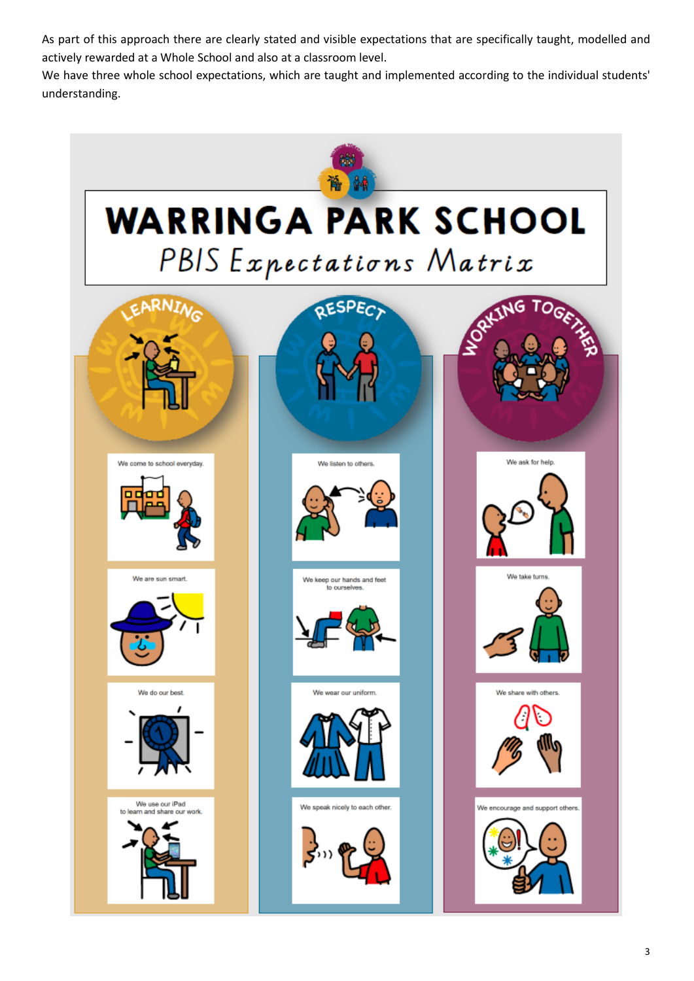As part of this approach there are clearly stated and visible expectations that are specifically taught, modelled and actively rewarded at a Whole School and also at a classroom level.

We have three whole school expectations, which are taught and implemented according to the individual students' understanding.

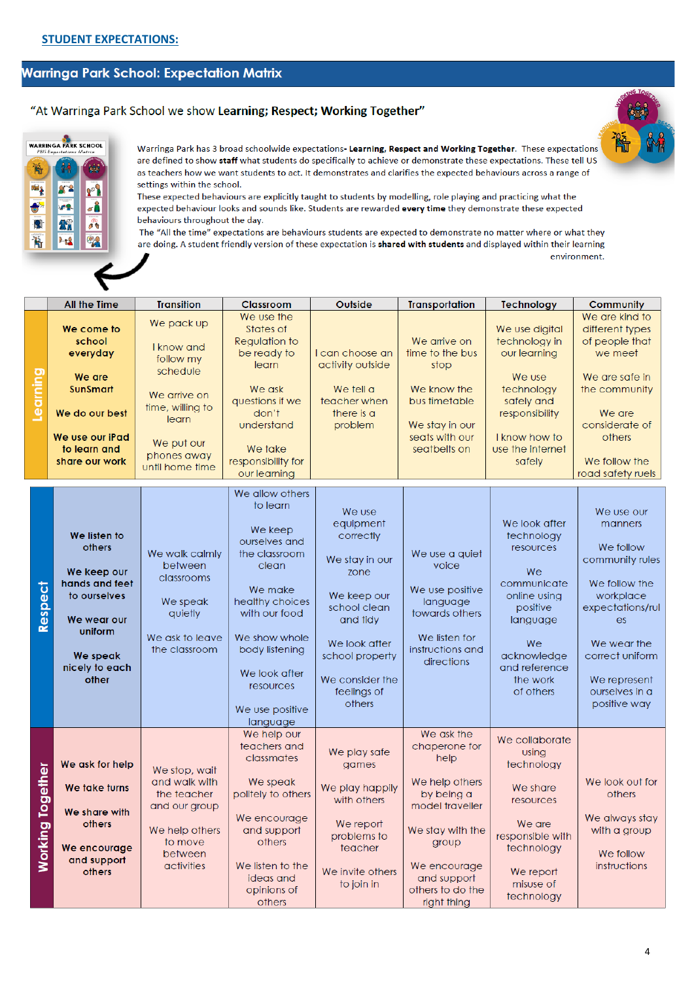# Warringa Park School: Expectation Matrix

## "At Warringa Park School we show Learning; Respect; Working Together"



Warringa Park has 3 broad schoolwide expectations- Learning, Respect and Working Together. These expectations are defined to show staff what students do specifically to achieve or demonstrate these expectations. These tell US as teachers how we want students to act. It demonstrates and clarifies the expected behaviours across a range of settings within the school.

These expected behaviours are explicitly taught to students by modelling, role playing and practicing what the expected behaviour looks and sounds like. Students are rewarded every time they demonstrate these expected behaviours throughout the day.

The "All the time" expectations are behaviours students are expected to demonstrate no matter where or what they are doing. A student friendly version of these expectation is shared with students and displayed within their learning environment.

|          | All the Time                                                                                                                                               | <b>Transition</b>                                                                                                                              | Classroom                                                                                                                                                                                                                        | Outside                                                                                                                                                                               | <b>Transportation</b>                                                                                                                                                                 | Technology                                                                                                                                                           | Community                                                                                                                                                                                         |
|----------|------------------------------------------------------------------------------------------------------------------------------------------------------------|------------------------------------------------------------------------------------------------------------------------------------------------|----------------------------------------------------------------------------------------------------------------------------------------------------------------------------------------------------------------------------------|---------------------------------------------------------------------------------------------------------------------------------------------------------------------------------------|---------------------------------------------------------------------------------------------------------------------------------------------------------------------------------------|----------------------------------------------------------------------------------------------------------------------------------------------------------------------|---------------------------------------------------------------------------------------------------------------------------------------------------------------------------------------------------|
| Learning | We come to<br>school<br>everyday<br>We are<br><b>SunSmart</b><br>We do our best<br>We use our iPad<br>to learn and<br>share our work                       | We pack up<br>I know and<br>follow my<br>schedule<br>We arrive on<br>time, willing to<br>learn<br>We put our<br>phones away<br>until home time | We use the<br>States of<br>Regulation to<br>be ready to<br>learn<br>We ask<br>questions if we<br>don't<br>understand<br>We take<br>responsibility for<br>our learning                                                            | I can choose an<br>activity outside<br>We tell a<br>teacher when<br>there is a<br>problem                                                                                             | We arrive on<br>time to the bus<br>stop<br>We know the<br>bus timetable<br>We stay in our<br>seats with our<br>seatbelts on                                                           | We use digital<br>technology in<br>our learning<br>We use<br>technology<br>safely and<br>responsibility<br>I know how to<br>use the internet<br>safely               | We are kind to<br>different types<br>of people that<br>we meet<br>We are safe in<br>the community<br>We are<br>considerate of<br>others<br>We follow the<br>road safety ruels                     |
|          | We listen to<br>others<br>We keep our<br>hands and feet<br><b>Respect</b><br>to ourselves<br>We wear our<br>uniform<br>We speak<br>nicely to each<br>other | We walk calmly<br>between<br>classrooms<br>We speak<br>quietly<br>We ask to leave<br>the classroom                                             | We allow others<br>to learn<br>We keep<br>ourselves and<br>the classroom<br>clean<br>We make<br>healthy choices<br>with our food<br>We show whole<br>body listening<br>We look after<br>resources<br>We use positive<br>language | We use<br>equipment<br>correctly<br>We stay in our<br>zone<br>We keep our<br>school clean<br>and tidy<br>We look after<br>school property<br>We consider the<br>feelings of<br>others | We use a quiet<br>voice<br>We use positive<br>language<br>towards others<br>We listen for<br>instructions and<br>directions                                                           | We look after<br>technology<br>resources<br>We<br>communicate<br>online using<br>positive<br>language<br>We<br>acknowledge<br>and reference<br>the work<br>of others | We use our<br>manners<br>We follow<br>community rules<br>We follow the<br>workplace<br>expectations/rul<br>es<br>We wear the<br>correct uniform<br>We represent<br>ourselves in a<br>positive way |
| Working  | We ask for help<br>Together<br>We take turns<br>We share with<br>others<br>We encourage<br>and support<br>others                                           | We stop, wait<br>and walk with<br>the teacher<br>and our group<br>We help others<br>to move<br>between<br>activities                           | We help our<br>teachers and<br>classmates<br>We speak<br>politely to others<br>We encourage<br>and support<br>others<br>We listen to the<br>ideas and<br>opinions of<br>others                                                   | We play safe<br>games<br>We play happily<br>with others<br>We report<br>problems to<br>teacher<br>We invite others<br>to join in                                                      | We ask the<br>chaperone for<br>help<br>We help others<br>by being a<br>model traveller<br>We stay with the<br>group<br>We encourage<br>and support<br>others to do the<br>right thing | We collaborate<br>using<br>technology<br>We share<br>resources<br>We are<br>responsible with<br>technology<br>We report<br>misuse of<br>technology                   | We look out for<br>others<br>We always stay<br>with a group<br>We follow<br>instructions                                                                                                          |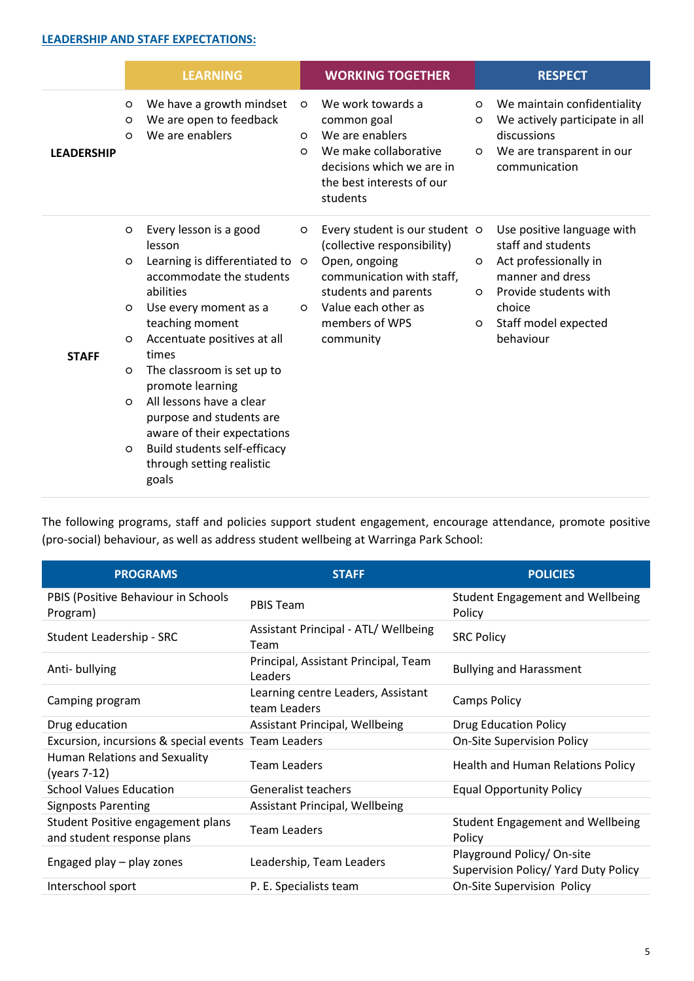#### **LEADERSHIP AND STAFF EXPECTATIONS:**

|                   |                                                                           | <b>LEARNING</b>                                                                                                                                                                                                                                                                                                                                                                                                 |                         | <b>WORKING TOGETHER</b>                                                                                                                                                                   |                                | <b>RESPECT</b>                                                                                                                                                        |
|-------------------|---------------------------------------------------------------------------|-----------------------------------------------------------------------------------------------------------------------------------------------------------------------------------------------------------------------------------------------------------------------------------------------------------------------------------------------------------------------------------------------------------------|-------------------------|-------------------------------------------------------------------------------------------------------------------------------------------------------------------------------------------|--------------------------------|-----------------------------------------------------------------------------------------------------------------------------------------------------------------------|
| <b>LEADERSHIP</b> | $\circ$<br>O<br>$\Omega$                                                  | We have a growth mindset<br>We are open to feedback<br>We are enablers                                                                                                                                                                                                                                                                                                                                          | $\circ$<br>O<br>$\circ$ | We work towards a<br>common goal<br>We are enablers<br>We make collaborative<br>decisions which we are in<br>the best interests of our<br>students                                        | $\circ$<br>$\circ$<br>$\circ$  | We maintain confidentiality<br>We actively participate in all<br>discussions<br>We are transparent in our<br>communication                                            |
| <b>STAFF</b>      | $\circ$<br>$\circ$<br>$\circ$<br>$\circ$<br>$\circ$<br>$\circ$<br>$\circ$ | Every lesson is a good<br>lesson<br>Learning is differentiated to o<br>accommodate the students<br>abilities<br>Use every moment as a<br>teaching moment<br>Accentuate positives at all<br>times<br>The classroom is set up to<br>promote learning<br>All lessons have a clear<br>purpose and students are<br>aware of their expectations<br>Build students self-efficacy<br>through setting realistic<br>goals | $\circ$<br>$\circ$      | Every student is our student o<br>(collective responsibility)<br>Open, ongoing<br>communication with staff,<br>students and parents<br>Value each other as<br>members of WPS<br>community | $\Omega$<br>$\circ$<br>$\circ$ | Use positive language with<br>staff and students<br>Act professionally in<br>manner and dress<br>Provide students with<br>choice<br>Staff model expected<br>behaviour |

The following programs, staff and policies support student engagement, encourage attendance, promote positive (pro-social) behaviour, as well as address student wellbeing at Warringa Park School:

| <b>PROGRAMS</b>                                                 | <b>STAFF</b>                                       | <b>POLICIES</b>                                                    |
|-----------------------------------------------------------------|----------------------------------------------------|--------------------------------------------------------------------|
| PBIS (Positive Behaviour in Schools<br>Program)                 | <b>PBIS Team</b>                                   | Student Engagement and Wellbeing<br>Policy                         |
| Student Leadership - SRC                                        | Assistant Principal - ATL/ Wellbeing<br>Team       | <b>SRC Policy</b>                                                  |
| Anti-bullying                                                   | Principal, Assistant Principal, Team<br>Leaders    | <b>Bullying and Harassment</b>                                     |
| Camping program                                                 | Learning centre Leaders, Assistant<br>team Leaders | <b>Camps Policy</b>                                                |
| Drug education                                                  | Assistant Principal, Wellbeing                     | <b>Drug Education Policy</b>                                       |
| Excursion, incursions & special events Team Leaders             |                                                    | <b>On-Site Supervision Policy</b>                                  |
| Human Relations and Sexuality<br>(years 7-12)                   | <b>Team Leaders</b>                                | <b>Health and Human Relations Policy</b>                           |
| <b>School Values Education</b>                                  | <b>Generalist teachers</b>                         | <b>Equal Opportunity Policy</b>                                    |
| <b>Signposts Parenting</b>                                      | <b>Assistant Principal, Wellbeing</b>              |                                                                    |
| Student Positive engagement plans<br>and student response plans | <b>Team Leaders</b>                                | <b>Student Engagement and Wellbeing</b><br>Policy                  |
| Engaged play - play zones                                       | Leadership, Team Leaders                           | Playground Policy/ On-site<br>Supervision Policy/ Yard Duty Policy |
| Interschool sport                                               | P. E. Specialists team                             | <b>On-Site Supervision Policy</b>                                  |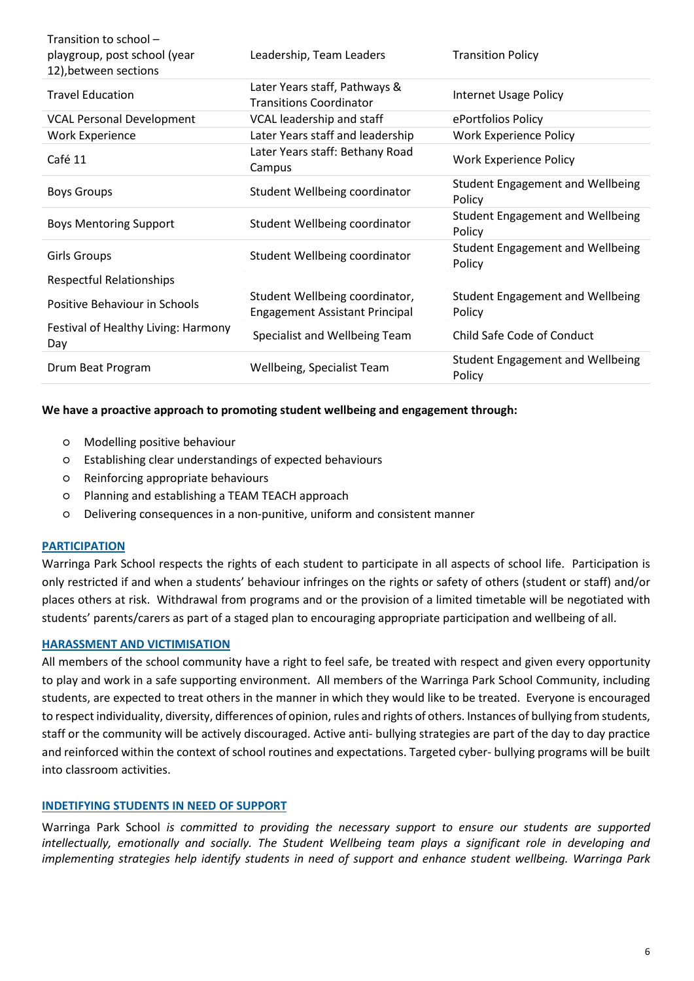| Transition to school -<br>playgroup, post school (year<br>12), between sections | Leadership, Team Leaders                                                | <b>Transition Policy</b>                          |
|---------------------------------------------------------------------------------|-------------------------------------------------------------------------|---------------------------------------------------|
| <b>Travel Education</b>                                                         | Later Years staff, Pathways &<br><b>Transitions Coordinator</b>         | <b>Internet Usage Policy</b>                      |
| <b>VCAL Personal Development</b>                                                | VCAL leadership and staff                                               | ePortfolios Policy                                |
| <b>Work Experience</b>                                                          | Later Years staff and leadership                                        | <b>Work Experience Policy</b>                     |
| Café 11                                                                         | Later Years staff: Bethany Road<br>Campus                               | <b>Work Experience Policy</b>                     |
| <b>Boys Groups</b>                                                              | Student Wellbeing coordinator                                           | <b>Student Engagement and Wellbeing</b><br>Policy |
| <b>Boys Mentoring Support</b>                                                   | Student Wellbeing coordinator                                           | <b>Student Engagement and Wellbeing</b><br>Policy |
| <b>Girls Groups</b>                                                             | Student Wellbeing coordinator                                           | <b>Student Engagement and Wellbeing</b><br>Policy |
| <b>Respectful Relationships</b>                                                 |                                                                         |                                                   |
| Positive Behaviour in Schools                                                   | Student Wellbeing coordinator,<br><b>Engagement Assistant Principal</b> | <b>Student Engagement and Wellbeing</b><br>Policy |
| Festival of Healthy Living: Harmony<br>Day                                      | Specialist and Wellbeing Team                                           | Child Safe Code of Conduct                        |
| Drum Beat Program                                                               | Wellbeing, Specialist Team                                              | <b>Student Engagement and Wellbeing</b><br>Policy |

#### **We have a proactive approach to promoting student wellbeing and engagement through:**

- Modelling positive behaviour
- Establishing clear understandings of expected behaviours
- Reinforcing appropriate behaviours
- Planning and establishing a TEAM TEACH approach
- Delivering consequences in a non-punitive, uniform and consistent manner

#### **PARTICIPATION**

Warringa Park School respects the rights of each student to participate in all aspects of school life. Participation is only restricted if and when a students' behaviour infringes on the rights or safety of others (student or staff) and/or places others at risk. Withdrawal from programs and or the provision of a limited timetable will be negotiated with students' parents/carers as part of a staged plan to encouraging appropriate participation and wellbeing of all.

#### **HARASSMENT AND VICTIMISATION**

All members of the school community have a right to feel safe, be treated with respect and given every opportunity to play and work in a safe supporting environment. All members of the Warringa Park School Community, including students, are expected to treat others in the manner in which they would like to be treated. Everyone is encouraged to respect individuality, diversity, differences of opinion, rules and rights of others. Instances of bullying from students, staff or the community will be actively discouraged. Active anti- bullying strategies are part of the day to day practice and reinforced within the context of school routines and expectations. Targeted cyber- bullying programs will be built into classroom activities.

## **INDETIFYING STUDENTS IN NEED OF SUPPORT**

Warringa Park School *is committed to providing the necessary support to ensure our students are supported intellectually, emotionally and socially. The Student Wellbeing team plays a significant role in developing and implementing strategies help identify students in need of support and enhance student wellbeing. Warringa Park*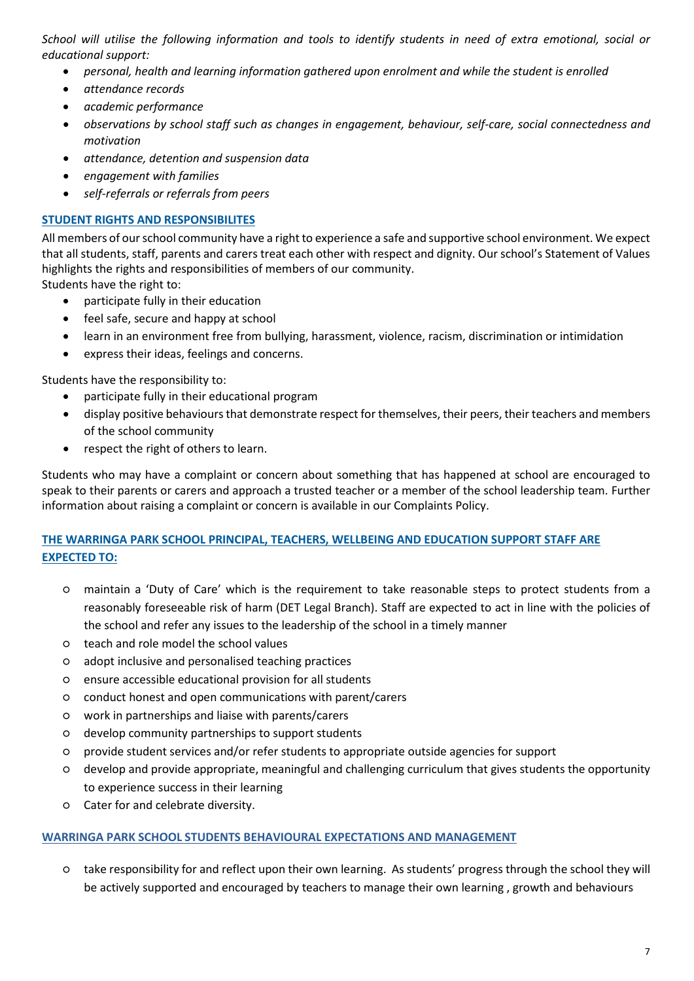*School will utilise the following information and tools to identify students in need of extra emotional, social or educational support:*

- *personal, health and learning information gathered upon enrolment and while the student is enrolled*
- *attendance records*
- *academic performance*
- *observations by school staff such as changes in engagement, behaviour, self-care, social connectedness and motivation*
- *attendance, detention and suspension data*
- *engagement with families*
- *self-referrals or referrals from peers*

## **STUDENT RIGHTS AND RESPONSIBILITES**

All members of our school community have a right to experience a safe and supportive school environment. We expect that all students, staff, parents and carers treat each other with respect and dignity. Our school's Statement of Values highlights the rights and responsibilities of members of our community.

Students have the right to:

- participate fully in their education
- feel safe, secure and happy at school
- learn in an environment free from bullying, harassment, violence, racism, discrimination or intimidation
- express their ideas, feelings and concerns.

Students have the responsibility to:

- participate fully in their educational program
- display positive behaviours that demonstrate respect for themselves, their peers, their teachers and members of the school community
- respect the right of others to learn.

Students who may have a complaint or concern about something that has happened at school are encouraged to speak to their parents or carers and approach a trusted teacher or a member of the school leadership team. Further information about raising a complaint or concern is available in our Complaints Policy.

# **THE WARRINGA PARK SCHOOL PRINCIPAL, TEACHERS, WELLBEING AND EDUCATION SUPPORT STAFF ARE EXPECTED TO:**

- maintain a 'Duty of Care' which is the requirement to take reasonable steps to protect students from a reasonably foreseeable risk of harm (DET Legal Branch). Staff are expected to act in line with the policies of the school and refer any issues to the leadership of the school in a timely manner
- teach and role model the school values
- adopt inclusive and personalised teaching practices
- ensure accessible educational provision for all students
- conduct honest and open communications with parent/carers
- work in partnerships and liaise with parents/carers
- develop community partnerships to support students
- provide student services and/or refer students to appropriate outside agencies for support
- develop and provide appropriate, meaningful and challenging curriculum that gives students the opportunity to experience success in their learning
- Cater for and celebrate diversity.

## **WARRINGA PARK SCHOOL STUDENTS BEHAVIOURAL EXPECTATIONS AND MANAGEMENT**

○ take responsibility for and reflect upon their own learning. As students' progress through the school they will be actively supported and encouraged by teachers to manage their own learning , growth and behaviours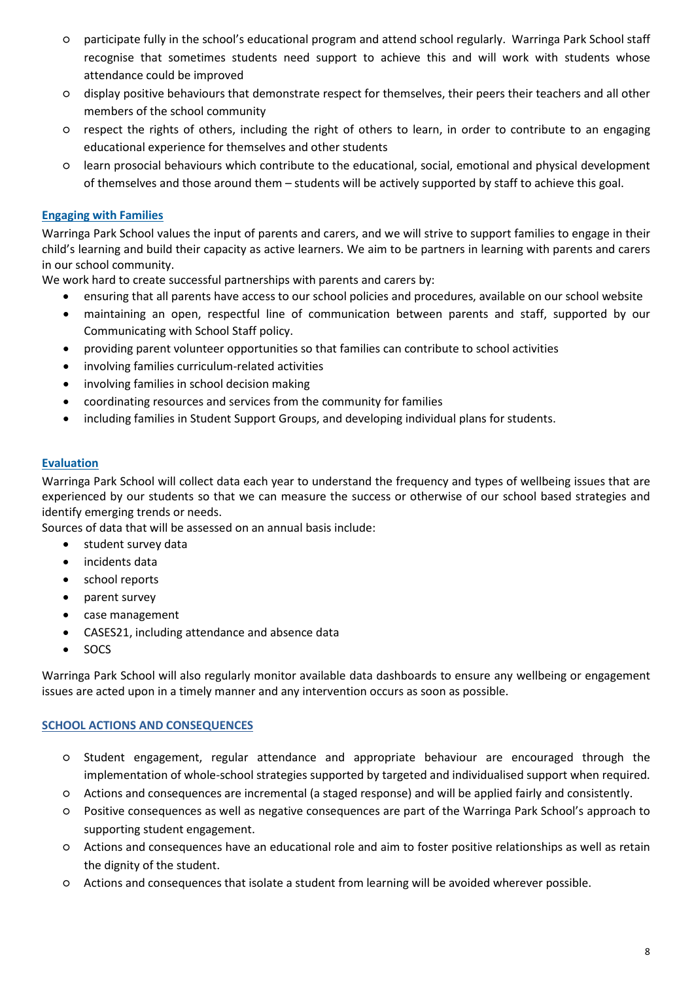- participate fully in the school's educational program and attend school regularly. Warringa Park School staff recognise that sometimes students need support to achieve this and will work with students whose attendance could be improved
- display positive behaviours that demonstrate respect for themselves, their peers their teachers and all other members of the school community
- respect the rights of others, including the right of others to learn, in order to contribute to an engaging educational experience for themselves and other students
- learn prosocial behaviours which contribute to the educational, social, emotional and physical development of themselves and those around them – students will be actively supported by staff to achieve this goal.

## **Engaging with Families**

Warringa Park School values the input of parents and carers, and we will strive to support families to engage in their child's learning and build their capacity as active learners. We aim to be partners in learning with parents and carers in our school community.

We work hard to create successful partnerships with parents and carers by:

- ensuring that all parents have access to our school policies and procedures, available on our school website
- maintaining an open, respectful line of communication between parents and staff, supported by our Communicating with School Staff policy.
- providing parent volunteer opportunities so that families can contribute to school activities
- involving families curriculum-related activities
- involving families in school decision making
- coordinating resources and services from the community for families
- including families in Student Support Groups, and developing individual plans for students.

#### **Evaluation**

Warringa Park School will collect data each year to understand the frequency and types of wellbeing issues that are experienced by our students so that we can measure the success or otherwise of our school based strategies and identify emerging trends or needs.

Sources of data that will be assessed on an annual basis include:

- student survey data
- incidents data
- school reports
- parent survey
- case management
- CASES21, including attendance and absence data
- SOCS

Warringa Park School will also regularly monitor available data dashboards to ensure any wellbeing or engagement issues are acted upon in a timely manner and any intervention occurs as soon as possible.

#### **SCHOOL ACTIONS AND CONSEQUENCES**

- Student engagement, regular attendance and appropriate behaviour are encouraged through the implementation of whole-school strategies supported by targeted and individualised support when required.
- Actions and consequences are incremental (a staged response) and will be applied fairly and consistently.
- Positive consequences as well as negative consequences are part of the Warringa Park School's approach to supporting student engagement.
- Actions and consequences have an educational role and aim to foster positive relationships as well as retain the dignity of the student.
- Actions and consequences that isolate a student from learning will be avoided wherever possible.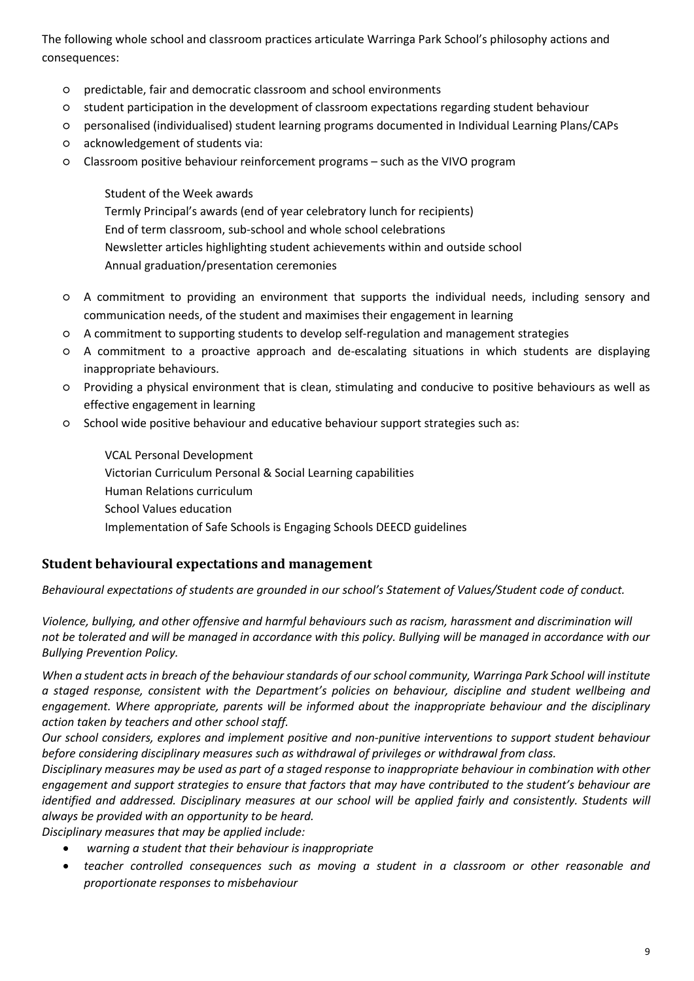The following whole school and classroom practices articulate Warringa Park School's philosophy actions and consequences:

- predictable, fair and democratic classroom and school environments
- student participation in the development of classroom expectations regarding student behaviour
- personalised (individualised) student learning programs documented in Individual Learning Plans/CAPs
- acknowledgement of students via:
- Classroom positive behaviour reinforcement programs such as the VIVO program

Student of the Week awards Termly Principal's awards (end of year celebratory lunch for recipients) End of term classroom, sub-school and whole school celebrations Newsletter articles highlighting student achievements within and outside school Annual graduation/presentation ceremonies

- A commitment to providing an environment that supports the individual needs, including sensory and communication needs, of the student and maximises their engagement in learning
- A commitment to supporting students to develop self-regulation and management strategies
- A commitment to a proactive approach and de-escalating situations in which students are displaying inappropriate behaviours.
- Providing a physical environment that is clean, stimulating and conducive to positive behaviours as well as effective engagement in learning
- School wide positive behaviour and educative behaviour support strategies such as:

VCAL Personal Development Victorian Curriculum Personal & Social Learning capabilities Human Relations curriculum School Values education Implementation of Safe Schools is Engaging Schools DEECD guidelines

# **Student behavioural expectations and management**

*Behavioural expectations of students are grounded in our school's Statement of Values/Student code of conduct.*

*Violence, bullying, and other offensive and harmful behaviours such as racism, harassment and discrimination will not be tolerated and will be managed in accordance with this policy. Bullying will be managed in accordance with our Bullying Prevention Policy.* 

*When a student acts in breach of the behaviour standards of our school community, Warringa Park School will institute a staged response, consistent with the Department's policies on behaviour, discipline and student wellbeing and engagement. Where appropriate, parents will be informed about the inappropriate behaviour and the disciplinary action taken by teachers and other school staff.* 

*Our school considers, explores and implement positive and non-punitive interventions to support student behaviour before considering disciplinary measures such as withdrawal of privileges or withdrawal from class.*

*Disciplinary measures may be used as part of a staged response to inappropriate behaviour in combination with other engagement and support strategies to ensure that factors that may have contributed to the student's behaviour are identified and addressed. Disciplinary measures at our school will be applied fairly and consistently. Students will always be provided with an opportunity to be heard.* 

*Disciplinary measures that may be applied include:*

- *warning a student that their behaviour is inappropriate*
- *teacher controlled consequences such as moving a student in a classroom or other reasonable and proportionate responses to misbehaviour*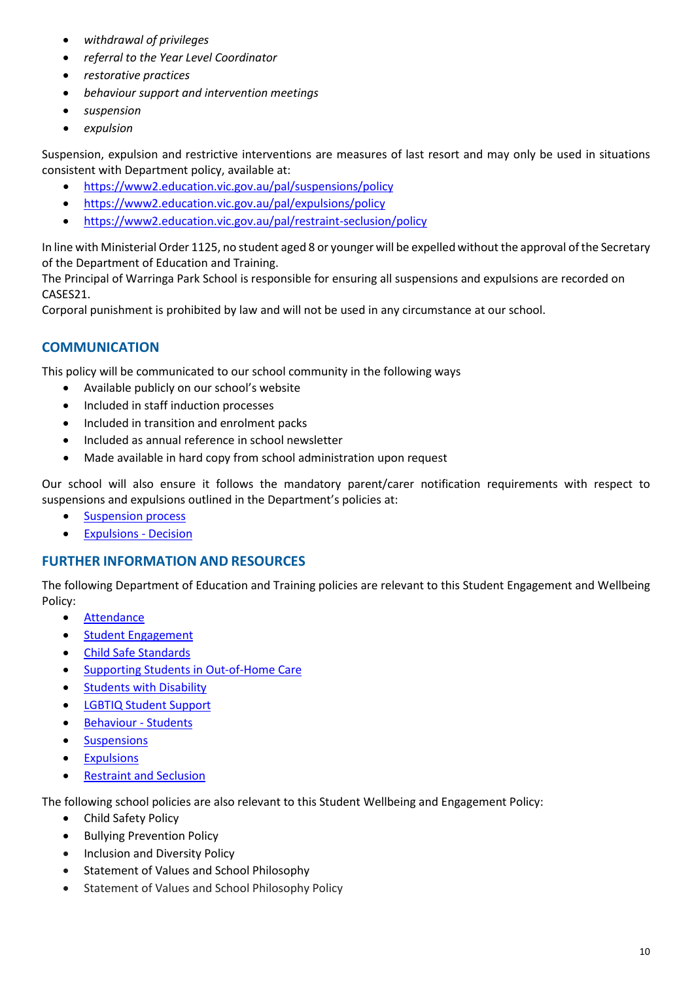- *withdrawal of privileges*
- *referral to the Year Level Coordinator*
- *restorative practices*
- *behaviour support and intervention meetings*
- *suspension*
- *expulsion*

Suspension, expulsion and restrictive interventions are measures of last resort and may only be used in situations consistent with Department policy, available at:

- <https://www2.education.vic.gov.au/pal/suspensions/policy>
- <https://www2.education.vic.gov.au/pal/expulsions/policy>
- <https://www2.education.vic.gov.au/pal/restraint-seclusion/policy>

In line with Ministerial Order 1125, no student aged 8 or younger will be expelled without the approval of the Secretary of the Department of Education and Training.

The Principal of Warringa Park School is responsible for ensuring all suspensions and expulsions are recorded on CASES21.

Corporal punishment is prohibited by law and will not be used in any circumstance at our school.

# **COMMUNICATION**

This policy will be communicated to our school community in the following ways

- Available publicly on our school's website
- Included in staff induction processes
- Included in transition and enrolment packs
- Included as annual reference in school newsletter
- Made available in hard copy from school administration upon request

Our school will also ensure it follows the mandatory parent/carer notification requirements with respect to suspensions and expulsions outlined in the Department's policies at:

- **[Suspension process](https://www2.education.vic.gov.au/pal/suspensions/guidance/1-suspension-process)**
- [Expulsions -](https://www2.education.vic.gov.au/pal/expulsions/guidance/decision) Decision

## **FURTHER INFORMATION AND RESOURCES**

The following Department of Education and Training policies are relevant to this Student Engagement and Wellbeing Policy:

- [Attendance](https://www2.education.vic.gov.au/pal/attendance/policy)
- [Student Engagement](https://www2.education.vic.gov.au/pal/student-engagement/policy)
- [Child Safe Standards](https://www2.education.vic.gov.au/pal/child-safe-standards/policy)
- [Supporting Students in Out-of-Home Care](https://www2.education.vic.gov.au/pal/supporting-students-out-home-care/policy)
- [Students with Disability](https://www2.education.vic.gov.au/pal/students-disability/policy)
- [LGBTIQ Student Support](https://www2.education.vic.gov.au/pal/lgbtiq-student-support/policy)
- [Behaviour -](https://www2.education.vic.gov.au/pal/behaviour-students/policy) Students
- [Suspensions](https://www2.education.vic.gov.au/pal/suspensions/policy)
- **[Expulsions](https://www2.education.vic.gov.au/pal/expulsions/policy)**
- [Restraint and Seclusion](https://www2.education.vic.gov.au/pal/restraint-seclusion/policy)

The following school policies are also relevant to this Student Wellbeing and Engagement Policy:

- Child Safety Policy
- Bullying Prevention Policy
- Inclusion and Diversity Policy
- Statement of Values and School Philosophy
- Statement of Values and School Philosophy Policy